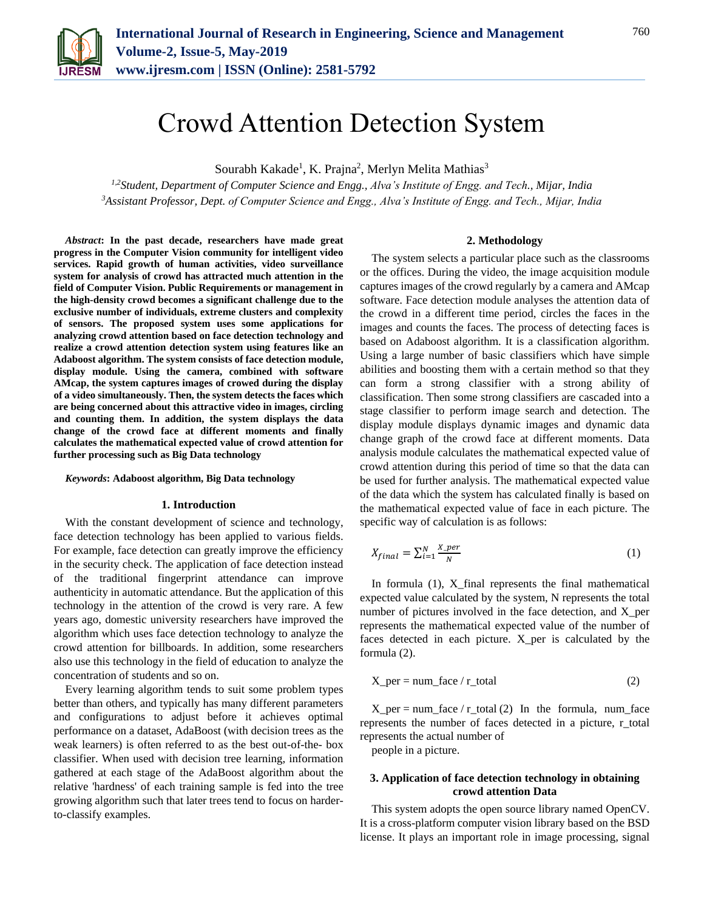

# Crowd Attention Detection System

Sourabh Kakade<sup>1</sup>, K. Prajna<sup>2</sup>, Merlyn Melita Mathias<sup>3</sup>

*1,2Student, Department of Computer Science and Engg., Alva's Institute of Engg. and Tech., Mijar, India <sup>3</sup>Assistant Professor, Dept. of Computer Science and Engg., Alva's Institute of Engg. and Tech., Mijar, India*

**2. Methodology**

*Abstract***: In the past decade, researchers have made great progress in the Computer Vision community for intelligent video services. Rapid growth of human activities, video surveillance system for analysis of crowd has attracted much attention in the field of Computer Vision. Public Requirements or management in the high-density crowd becomes a significant challenge due to the exclusive number of individuals, extreme clusters and complexity of sensors. The proposed system uses some applications for analyzing crowd attention based on face detection technology and realize a crowd attention detection system using features like an Adaboost algorithm. The system consists of face detection module, display module. Using the camera, combined with software AMcap, the system captures images of crowed during the display of a video simultaneously. Then, the system detects the faces which are being concerned about this attractive video in images, circling and counting them. In addition, the system displays the data change of the crowd face at different moments and finally calculates the mathematical expected value of crowd attention for further processing such as Big Data technology**

#### *Keywords***: Adaboost algorithm, Big Data technology**

#### **1. Introduction**

With the constant development of science and technology, face detection technology has been applied to various fields. For example, face detection can greatly improve the efficiency in the security check. The application of face detection instead of the traditional fingerprint attendance can improve authenticity in automatic attendance. But the application of this technology in the attention of the crowd is very rare. A few years ago, domestic university researchers have improved the algorithm which uses face detection technology to analyze the crowd attention for billboards. In addition, some researchers also use this technology in the field of education to analyze the concentration of students and so on.

Every learning algorithm tends to suit some problem types better than others, and typically has many different parameters and configurations to adjust before it achieves optimal performance on a dataset, AdaBoost (with decision trees as the weak learners) is often referred to as the best out-of-the- box classifier. When used with decision tree learning, information gathered at each stage of the AdaBoost algorithm about the relative 'hardness' of each training sample is fed into the tree growing algorithm such that later trees tend to focus on harderto-classify examples.

The system selects a particular place such as the classrooms or the offices. During the video, the image acquisition module captures images of the crowd regularly by a camera and AMcap software. Face detection module analyses the attention data of the crowd in a different time period, circles the faces in the images and counts the faces. The process of detecting faces is based on Adaboost algorithm. It is a classification algorithm. Using a large number of basic classifiers which have simple abilities and boosting them with a certain method so that they can form a strong classifier with a strong ability of classification. Then some strong classifiers are cascaded into a stage classifier to perform image search and detection. The display module displays dynamic images and dynamic data change graph of the crowd face at different moments. Data analysis module calculates the mathematical expected value of crowd attention during this period of time so that the data can be used for further analysis. The mathematical expected value of the data which the system has calculated finally is based on the mathematical expected value of face in each picture. The specific way of calculation is as follows:

$$
X_{final} = \sum_{i=1}^{N} \frac{X_{per}}{N}
$$
 (1)

In formula  $(1)$ , X final represents the final mathematical expected value calculated by the system, N represents the total number of pictures involved in the face detection, and X\_per represents the mathematical expected value of the number of faces detected in each picture. X\_per is calculated by the formula (2).

$$
X_{\text{per}} = num\_face / r\_total \tag{2}
$$

 $X_{per}$  = num\_face / r\_total (2) In the formula, num\_face represents the number of faces detected in a picture, r\_total represents the actual number of

people in a picture.

# **3. Application of face detection technology in obtaining crowd attention Data**

This system adopts the open source library named OpenCV. It is a cross-platform computer vision library based on the BSD license. It plays an important role in image processing, signal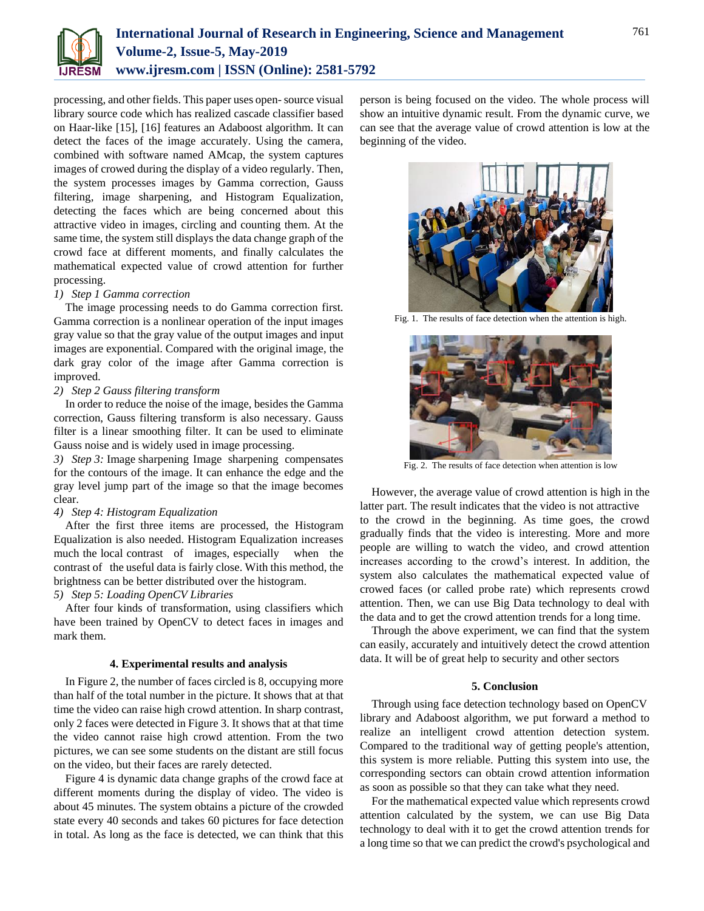

processing, and other fields. This paper uses open-source visual library source code which has realized cascade classifier based on Haar-like [15], [16] features an Adaboost algorithm. It can detect the faces of the image accurately. Using the camera, combined with software named AMcap, the system captures images of crowed during the display of a video regularly. Then, the system processes images by Gamma correction, Gauss filtering, image sharpening, and Histogram Equalization, detecting the faces which are being concerned about this attractive video in images, circling and counting them. At the same time, the system still displays the data change graph of the crowd face at different moments, and finally calculates the mathematical expected value of crowd attention for further processing.

## *1) Step 1 Gamma correction*

The image processing needs to do Gamma correction first. Gamma correction is a nonlinear operation of the input images gray value so that the gray value of the output images and input images are exponential. Compared with the original image, the dark gray color of the image after Gamma correction is improved.

# *2) Step 2 Gauss filtering transform*

In order to reduce the noise of the image, besides the Gamma correction, Gauss filtering transform is also necessary. Gauss filter is a linear smoothing filter. It can be used to eliminate Gauss noise and is widely used in image processing.

*3) Step 3:* Image sharpening Image sharpening compensates for the contours of the image. It can enhance the edge and the gray level jump part of the image so that the image becomes clear.

## *4) Step 4: Histogram Equalization*

After the first three items are processed, the Histogram Equalization is also needed. Histogram Equalization increases much the local contrast of images, especially when the contrast of the useful data is fairly close. With this method, the brightness can be better distributed over the histogram.

# *5) Step 5: Loading OpenCV Libraries*

After four kinds of transformation, using classifiers which have been trained by OpenCV to detect faces in images and mark them.

# **4. Experimental results and analysis**

In Figure 2, the number of faces circled is 8, occupying more than half of the total number in the picture. It shows that at that time the video can raise high crowd attention. In sharp contrast, only 2 faces were detected in Figure 3. It shows that at that time the video cannot raise high crowd attention. From the two pictures, we can see some students on the distant are still focus on the video, but their faces are rarely detected.

Figure 4 is dynamic data change graphs of the crowd face at different moments during the display of video. The video is about 45 minutes. The system obtains a picture of the crowded state every 40 seconds and takes 60 pictures for face detection in total. As long as the face is detected, we can think that this

person is being focused on the video. The whole process will show an intuitive dynamic result. From the dynamic curve, we can see that the average value of crowd attention is low at the beginning of the video.



Fig. 1. The results of face detection when the attention is high.



Fig. 2. The results of face detection when attention is low

However, the average value of crowd attention is high in the latter part. The result indicates that the video is not attractive to the crowd in the beginning. As time goes, the crowd gradually finds that the video is interesting. More and more people are willing to watch the video, and crowd attention increases according to the crowd's interest. In addition, the system also calculates the mathematical expected value of crowed faces (or called probe rate) which represents crowd attention. Then, we can use Big Data technology to deal with the data and to get the crowd attention trends for a long time.

Through the above experiment, we can find that the system can easily, accurately and intuitively detect the crowd attention data. It will be of great help to security and other sectors

## **5. Conclusion**

Through using face detection technology based on OpenCV library and Adaboost algorithm, we put forward a method to realize an intelligent crowd attention detection system. Compared to the traditional way of getting people's attention, this system is more reliable. Putting this system into use, the corresponding sectors can obtain crowd attention information as soon as possible so that they can take what they need.

For the mathematical expected value which represents crowd attention calculated by the system, we can use Big Data technology to deal with it to get the crowd attention trends for a long time so that we can predict the crowd's psychological and